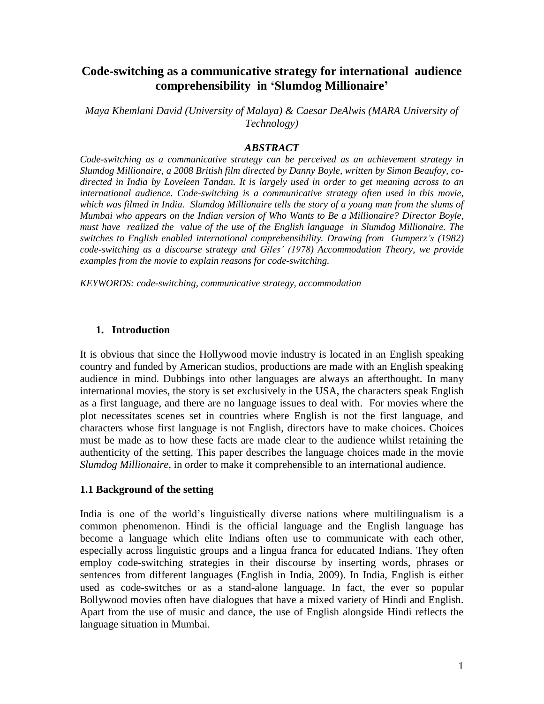# **Code-switching as a communicative strategy for international audience comprehensibility in 'Slumdog Millionaire'**

*Maya Khemlani David (University of Malaya) & Caesar DeAlwis (MARA University of Technology)*

#### *ABSTRACT*

*Code-switching as a communicative strategy can be perceived as an achievement strategy in Slumdog Millionaire, a 2008 British film directed by Danny Boyle, written by Simon Beaufoy, codirected in India by Loveleen Tandan. It is largely used in order to get meaning across to an international audience. Code-switching is a communicative strategy often used in this movie, which was filmed in India. Slumdog Millionaire tells the story of a young man from the slums of Mumbai who appears on the Indian version of Who Wants to Be a Millionaire? Director Boyle, must have realized the value of the use of the English language in Slumdog Millionaire. The switches to English enabled international comprehensibility. Drawing from Gumperz's (1982) code-switching as a discourse strategy and Giles' (1978) Accommodation Theory, we provide examples from the movie to explain reasons for code-switching.* 

*KEYWORDS: code-switching, communicative strategy, accommodation*

#### **1. Introduction**

It is obvious that since the Hollywood movie industry is located in an English speaking country and funded by American studios, productions are made with an English speaking audience in mind. Dubbings into other languages are always an afterthought. In many international movies, the story is set exclusively in the USA, the characters speak English as a first language, and there are no language issues to deal with. For movies where the plot necessitates scenes set in countries where English is not the first language, and characters whose first language is not English, directors have to make choices. Choices must be made as to how these facts are made clear to the audience whilst retaining the authenticity of the setting. This paper describes the language choices made in the movie *Slumdog Millionaire*, in order to make it comprehensible to an international audience.

#### **1.1 Background of the setting**

India is one of the world"s linguistically diverse nations where multilingualism is a common phenomenon. Hindi is the official language and the English language has become a language which elite Indians often use to communicate with each other, especially across linguistic groups and a lingua franca for educated Indians. They often employ code-switching strategies in their discourse by inserting words, phrases or sentences from different languages (English in India, 2009). In India, English is either used as code-switches or as a stand-alone language. In fact, the ever so popular Bollywood movies often have dialogues that have a mixed variety of Hindi and English. Apart from the use of music and dance, the use of English alongside Hindi reflects the language situation in Mumbai.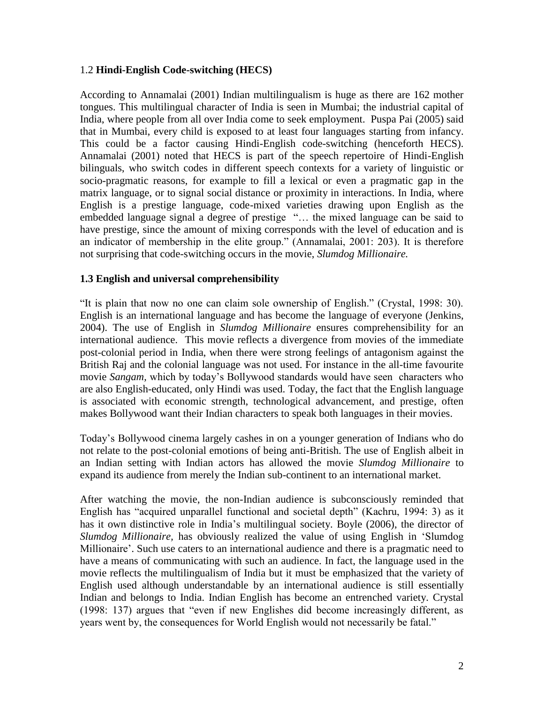#### 1.2 **Hindi-English Code-switching (HECS)**

According to Annamalai (2001) Indian multilingualism is huge as there are 162 mother tongues. This multilingual character of India is seen in Mumbai; the industrial capital of India, where people from all over India come to seek employment. Puspa Pai (2005) said that in Mumbai, every child is exposed to at least four languages starting from infancy. This could be a factor causing Hindi-English code-switching (henceforth HECS). Annamalai (2001) noted that HECS is part of the speech repertoire of Hindi-English bilinguals, who switch codes in different speech contexts for a variety of linguistic or socio-pragmatic reasons, for example to fill a lexical or even a pragmatic gap in the matrix language, or to signal social distance or proximity in interactions. In India, where English is a prestige language, code-mixed varieties drawing upon English as the embedded language signal a degree of prestige "… the mixed language can be said to have prestige, since the amount of mixing corresponds with the level of education and is an indicator of membership in the elite group." (Annamalai, 2001: 203). It is therefore not surprising that code-switching occurs in the movie, *Slumdog Millionaire.*

#### **1.3 English and universal comprehensibility**

"It is plain that now no one can claim sole ownership of English." (Crystal, 1998: 30). English is an international language and has become the language of everyone (Jenkins, 2004). The use of English in *Slumdog Millionaire* ensures comprehensibility for an international audience. This movie reflects a divergence from movies of the immediate post-colonial period in India, when there were strong feelings of antagonism against the British Raj and the colonial language was not used. For instance in the all-time favourite movie *Sangam,* which by today"s Bollywood standards would have seen characters who are also English-educated, only Hindi was used. Today, the fact that the English language is associated with economic strength, technological advancement, and prestige, often makes Bollywood want their Indian characters to speak both languages in their movies.

Today"s Bollywood cinema largely cashes in on a younger generation of Indians who do not relate to the post-colonial emotions of being anti-British. The use of English albeit in an Indian setting with Indian actors has allowed the movie *Slumdog Millionaire* to expand its audience from merely the Indian sub-continent to an international market.

After watching the movie, the non-Indian audience is subconsciously reminded that English has "acquired unparallel functional and societal depth" (Kachru, 1994: 3) as it has it own distinctive role in India"s multilingual society. Boyle (2006), the director of *Slumdog Millionaire,* has obviously realized the value of using English in "Slumdog Millionaire'. Such use caters to an international audience and there is a pragmatic need to have a means of communicating with such an audience. In fact, the language used in the movie reflects the multilingualism of India but it must be emphasized that the variety of English used although understandable by an international audience is still essentially Indian and belongs to India. Indian English has become an entrenched variety. Crystal (1998: 137) argues that "even if new Englishes did become increasingly different, as years went by, the consequences for World English would not necessarily be fatal."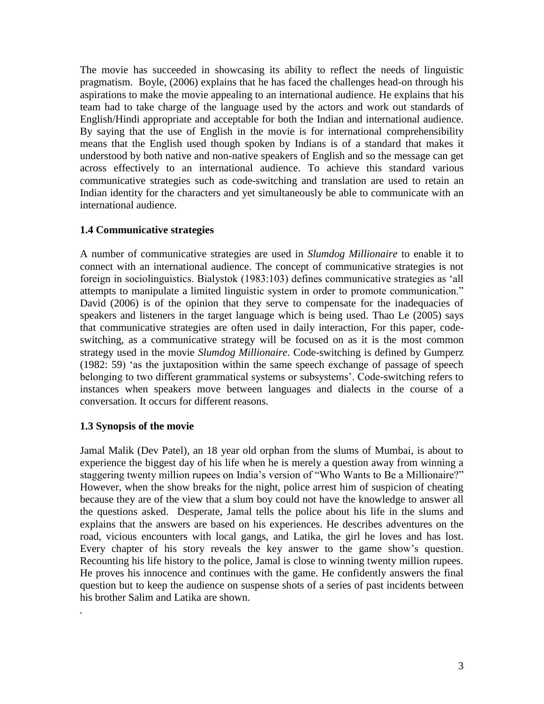The movie has succeeded in showcasing its ability to reflect the needs of linguistic pragmatism. Boyle, (2006) explains that he has faced the challenges head-on through his aspirations to make the movie appealing to an international audience. He explains that his team had to take charge of the language used by the actors and work out standards of English/Hindi appropriate and acceptable for both the Indian and international audience. By saying that the use of English in the movie is for international comprehensibility means that the English used though spoken by Indians is of a standard that makes it understood by both native and non-native speakers of English and so the message can get across effectively to an international audience. To achieve this standard various communicative strategies such as code-switching and translation are used to retain an Indian identity for the characters and yet simultaneously be able to communicate with an international audience.

# **1.4 Communicative strategies**

A number of communicative strategies are used in *Slumdog Millionaire* to enable it to connect with an international audience. The concept of communicative strategies is not foreign in sociolinguistics. Bialystok (1983:103) defines communicative strategies as "all attempts to manipulate a limited linguistic system in order to promote communication." David (2006) is of the opinion that they serve to compensate for the inadequacies of speakers and listeners in the target language which is being used. Thao Le (2005) says that communicative strategies are often used in daily interaction, For this paper, codeswitching, as a communicative strategy will be focused on as it is the most common strategy used in the movie *Slumdog Millionaire*. Code-switching is defined by Gumperz (1982: 59) "as the juxtaposition within the same speech exchange of passage of speech belonging to two different grammatical systems or subsystems'. Code-switching refers to instances when speakers move between languages and dialects in the course of a conversation. It occurs for different reasons.

# **1.3 Synopsis of the movie**

*.* 

Jamal Malik (Dev Patel), an 18 year old orphan from the slums of Mumbai, is about to experience the biggest day of his life when he is merely a question away from winning a staggering twenty million rupees on India"s version of "Who Wants to Be a Millionaire?" However, when the show breaks for the night, police arrest him of suspicion of cheating because they are of the view that a slum boy could not have the knowledge to answer all the questions asked. Desperate, Jamal tells the police about his life in the slums and explains that the answers are based on his experiences. He describes adventures on the road, vicious encounters with local gangs, and Latika, the girl he loves and has lost. Every chapter of his story reveals the key answer to the game show"s question. Recounting his life history to the police, Jamal is close to winning twenty million rupees. He proves his innocence and continues with the game. He confidently answers the final question but to keep the audience on suspense shots of a series of past incidents between his brother Salim and Latika are shown.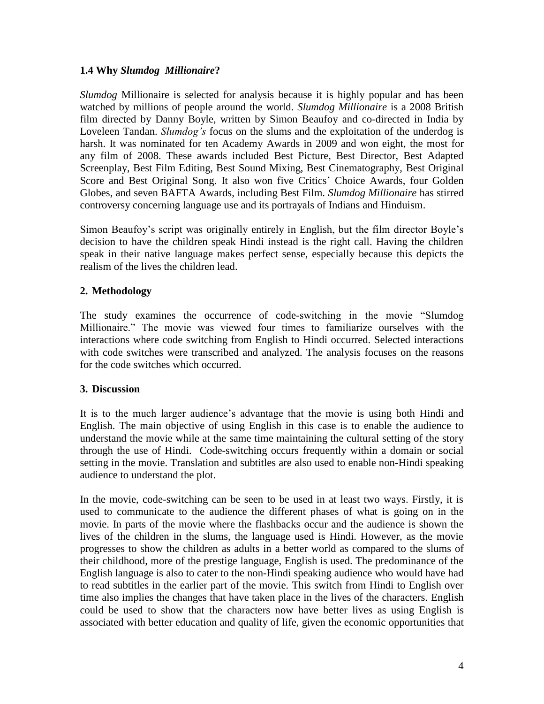### **1.4 Why** *Slumdog Millionaire***?**

*Slumdog* Millionaire is selected for analysis because it is highly popular and has been watched by millions of people around the world. *Slumdog Millionaire* is a 2008 British film directed by Danny Boyle, written by Simon Beaufoy and co-directed in India by Loveleen Tandan. *Slumdog's* focus on the slums and the exploitation of the underdog is harsh. It was nominated for ten Academy Awards in 2009 and won eight, the most for any film of 2008. These awards included Best Picture, Best Director, Best Adapted Screenplay, Best Film Editing, Best Sound Mixing, Best Cinematography, Best Original Score and Best Original Song. It also won five Critics' Choice Awards, four Golden Globes, and seven BAFTA Awards, including Best Film. *Slumdog Millionaire* has stirred controversy concerning language use and its portrayals of Indians and Hinduism.

Simon Beaufoy's script was originally entirely in English, but the film director Boyle's decision to have the children speak Hindi instead is the right call. Having the children speak in their native language makes perfect sense, especially because this depicts the realism of the lives the children lead.

# **2. Methodology**

The study examines the occurrence of code-switching in the movie "Slumdog Millionaire." The movie was viewed four times to familiarize ourselves with the interactions where code switching from English to Hindi occurred. Selected interactions with code switches were transcribed and analyzed. The analysis focuses on the reasons for the code switches which occurred.

# **3. Discussion**

It is to the much larger audience"s advantage that the movie is using both Hindi and English. The main objective of using English in this case is to enable the audience to understand the movie while at the same time maintaining the cultural setting of the story through the use of Hindi. Code-switching occurs frequently within a domain or social setting in the movie. Translation and subtitles are also used to enable non-Hindi speaking audience to understand the plot.

In the movie, code-switching can be seen to be used in at least two ways. Firstly, it is used to communicate to the audience the different phases of what is going on in the movie. In parts of the movie where the flashbacks occur and the audience is shown the lives of the children in the slums, the language used is Hindi. However, as the movie progresses to show the children as adults in a better world as compared to the slums of their childhood, more of the prestige language, English is used. The predominance of the English language is also to cater to the non-Hindi speaking audience who would have had to read subtitles in the earlier part of the movie. This switch from Hindi to English over time also implies the changes that have taken place in the lives of the characters. English could be used to show that the characters now have better lives as using English is associated with better education and quality of life, given the economic opportunities that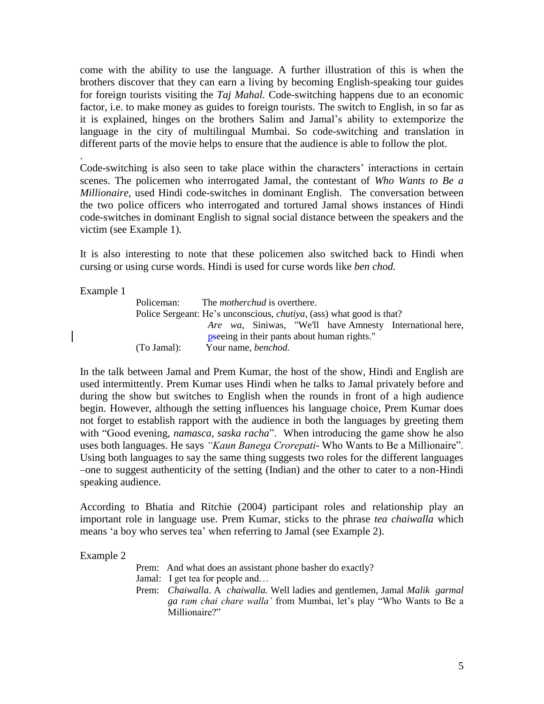come with the ability to use the language. A further illustration of this is when the brothers discover that they can earn a living by becoming English-speaking tour guides for foreign tourists visiting the *Taj Mahal.* Code-switching happens due to an economic factor, i.e. to make money as guides to foreign tourists. The switch to English, in so far as it is explained, hinges on the brothers Salim and Jamal"s ability to extemporize the language in the city of multilingual Mumbai. So code-switching and translation in different parts of the movie helps to ensure that the audience is able to follow the plot.

Code-switching is also seen to take place within the characters' interactions in certain scenes. The policemen who interrogated Jamal, the contestant of *Who Wants to Be a Millionaire,* used Hindi code-switches in dominant English. The conversation between the two police officers who interrogated and tortured Jamal shows instances of Hindi code-switches in dominant English to signal social distance between the speakers and the victim (see Example 1).

It is also interesting to note that these policemen also switched back to Hindi when cursing or using curse words. Hindi is used for curse words like *ben chod.*

Example 1

.

Policeman: The *motherchud* is overthere. Police Sergeant: He's unconscious, *chutiva*, (ass) what good is that? *Are wa*, Siniwas, "We'll have Amnesty International here, pseeing in their pants about human rights." (To Jamal): Your name, *benchod*.

In the talk between Jamal and Prem Kumar, the host of the show, Hindi and English are used intermittently. Prem Kumar uses Hindi when he talks to Jamal privately before and during the show but switches to English when the rounds in front of a high audience begin. However, although the setting influences his language choice, Prem Kumar does not forget to establish rapport with the audience in both the languages by greeting them with "Good evening, *namasca, saska racha*". When introducing the game show he also uses both languages. He says *"Kaun Banega Crorepati*- Who Wants to Be a Millionaire". Using both languages to say the same thing suggests two roles for the different languages –one to suggest authenticity of the setting (Indian) and the other to cater to a non-Hindi speaking audience.

According to Bhatia and Ritchie (2004) participant roles and relationship play an important role in language use. Prem Kumar, sticks to the phrase *tea chaiwalla* which means 'a boy who serves tea' when referring to Jamal (see Example 2).

Example 2

Prem: And what does an assistant phone basher do exactly?

- Jamal: I get tea for people and…
- Prem: *Chaiwalla*. A *chaiwalla.* Well ladies and gentlemen, Jamal *Malik garmal ga ram chai chare walla'* from Mumbai, let"s play "Who Wants to Be a Millionaire?"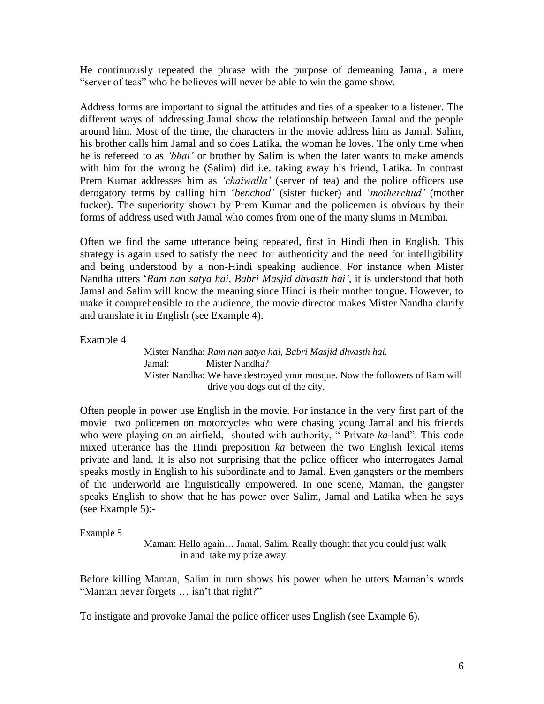He continuously repeated the phrase with the purpose of demeaning Jamal, a mere "server of teas" who he believes will never be able to win the game show.

Address forms are important to signal the attitudes and ties of a speaker to a listener. The different ways of addressing Jamal show the relationship between Jamal and the people around him. Most of the time, the characters in the movie address him as Jamal. Salim, his brother calls him Jamal and so does Latika, the woman he loves. The only time when he is refereed to as *'bhai'* or brother by Salim is when the later wants to make amends with him for the wrong he (Salim) did i.e. taking away his friend, Latika. In contrast Prem Kumar addresses him as *'chaiwalla'* (server of tea) and the police officers use derogatory terms by calling him "*benchod'* (sister fucker) and "*motherchud'* (mother fucker). The superiority shown by Prem Kumar and the policemen is obvious by their forms of address used with Jamal who comes from one of the many slums in Mumbai.

Often we find the same utterance being repeated, first in Hindi then in English. This strategy is again used to satisfy the need for authenticity and the need for intelligibility and being understood by a non-Hindi speaking audience. For instance when Mister Nandha utters "*Ram nan satya hai, Babri Masjid dhvasth hai'*, it is understood that both Jamal and Salim will know the meaning since Hindi is their mother tongue. However, to make it comprehensible to the audience, the movie director makes Mister Nandha clarify and translate it in English (see Example 4).

Example 4

Mister Nandha: *Ram nan satya hai, Babri Masjid dhvasth hai.* Jamal: Mister Nandha? Mister Nandha: We have destroyed your mosque. Now the followers of Ram will drive you dogs out of the city.

Often people in power use English in the movie. For instance in the very first part of the movie two policemen on motorcycles who were chasing young Jamal and his friends who were playing on an airfield, shouted with authority, " Private *ka-*land". This code mixed utterance has the Hindi preposition *ka* between the two English lexical items private and land. It is also not surprising that the police officer who interrogates Jamal speaks mostly in English to his subordinate and to Jamal. Even gangsters or the members of the underworld are linguistically empowered. In one scene, Maman, the gangster speaks English to show that he has power over Salim, Jamal and Latika when he says (see Example 5):-

Example 5

Maman: Hello again… Jamal, Salim. Really thought that you could just walk in and take my prize away.

Before killing Maman, Salim in turn shows his power when he utters Maman"s words "Maman never forgets ... isn't that right?"

To instigate and provoke Jamal the police officer uses English (see Example 6).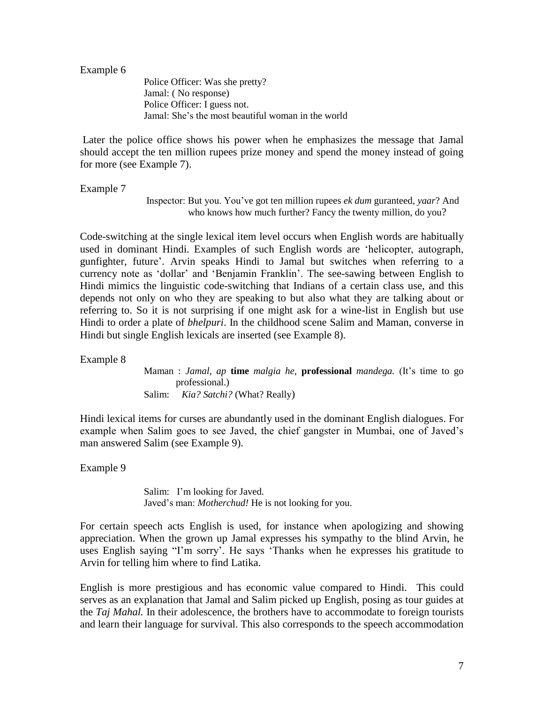Example 6

Police Officer: Was she pretty? Jamal: ( No response) Police Officer: I guess not. Jamal: She"s the most beautiful woman in the world

Later the police office shows his power when he emphasizes the message that Jamal should accept the ten million rupees prize money and spend the money instead of going for more (see Example 7).

Example 7

Inspector: But you. You"ve got ten million rupees *ek dum* guranteed, *yaar*? And who knows how much further? Fancy the twenty million, do you?

Code-switching at the single lexical item level occurs when English words are habitually used in dominant Hindi. Examples of such English words are "helicopter, autograph, gunfighter, future". Arvin speaks Hindi to Jamal but switches when referring to a currency note as "dollar" and "Benjamin Franklin". The see-sawing between English to Hindi mimics the linguistic code-switching that Indians of a certain class use, and this depends not only on who they are speaking to but also what they are talking about or referring to. So it is not surprising if one might ask for a wine-list in English but use Hindi to order a plate of *bhelpuri*. In the childhood scene Salim and Maman, converse in Hindi but single English lexicals are inserted (see Example 8).

Example 8

Maman : *Jamal, ap* **time** *malgia he,* **professional** *mandega.* (It"s time to go professional.) Salim: *Kia? Satchi?* (What? Really)

Hindi lexical items for curses are abundantly used in the dominant English dialogues. For example when Salim goes to see Javed, the chief gangster in Mumbai, one of Javed"s man answered Salim (see Example 9).

Example 9

Salim: I"m looking for Javed. Javed"s man: *Motherchud!* He is not looking for you.

For certain speech acts English is used, for instance when apologizing and showing appreciation. When the grown up Jamal expresses his sympathy to the blind Arvin, he uses English saying "I'm sorry'. He says 'Thanks when he expresses his gratitude to Arvin for telling him where to find Latika.

English is more prestigious and has economic value compared to Hindi. This could serves as an explanation that Jamal and Salim picked up English, posing as tour guides at the *Taj Mahal.* In their adolescence, the brothers have to accommodate to foreign tourists and learn their language for survival. This also corresponds to the speech accommodation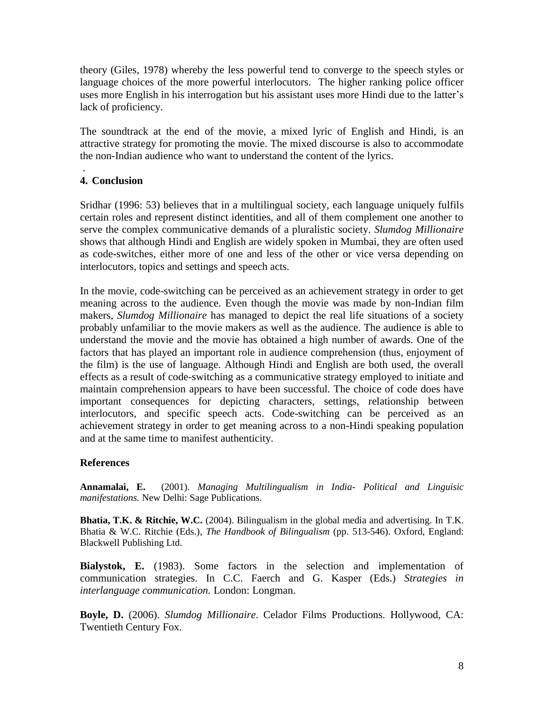theory (Giles, 1978) whereby the less powerful tend to converge to the speech styles or language choices of the more powerful interlocutors. The higher ranking police officer uses more English in his interrogation but his assistant uses more Hindi due to the latter"s lack of proficiency.

The soundtrack at the end of the movie, a mixed lyric of English and Hindi, is an attractive strategy for promoting the movie. The mixed discourse is also to accommodate the non-Indian audience who want to understand the content of the lyrics.

#### . **4. Conclusion**

Sridhar (1996: 53) believes that in a multilingual society, each language uniquely fulfils certain roles and represent distinct identities, and all of them complement one another to serve the complex communicative demands of a pluralistic society. *Slumdog Millionaire* shows that although Hindi and English are widely spoken in Mumbai, they are often used as code-switches, either more of one and less of the other or vice versa depending on interlocutors, topics and settings and speech acts.

In the movie, code-switching can be perceived as an achievement strategy in order to get meaning across to the audience. Even though the movie was made by non-Indian film makers, *Slumdog Millionaire* has managed to depict the real life situations of a society probably unfamiliar to the movie makers as well as the audience. The audience is able to understand the movie and the movie has obtained a high number of awards. One of the factors that has played an important role in audience comprehension (thus, enjoyment of the film) is the use of language. Although Hindi and English are both used, the overall effects as a result of code-switching as a communicative strategy employed to initiate and maintain comprehension appears to have been successful. The choice of code does have important consequences for depicting characters, settings, relationship between interlocutors, and specific speech acts. Code-switching can be perceived as an achievement strategy in order to get meaning across to a non-Hindi speaking population and at the same time to manifest authenticity.

# **References**

**Annamalai, E.** (2001). *Managing Multilingualism in India- Political and Linguisic manifestations.* New Delhi: Sage Publications.

**Bhatia, T.K. & Ritchie, W.C.** (2004). Bilingualism in the global media and advertising. In T.K. Bhatia & W.C. Ritchie (Eds.), *The Handbook of Bilingualism* (pp. 513-546). Oxford, England: Blackwell Publishing Ltd.

**Bialystok, E.** (1983). Some factors in the selection and implementation of communication strategies. In C.C. Faerch and G. Kasper (Eds.) *Strategies in interlanguage communication.* London: Longman.

**Boyle, D.** (2006). *Slumdog Millionaire*. Celador Films Productions. Hollywood, CA: Twentieth Century Fox.